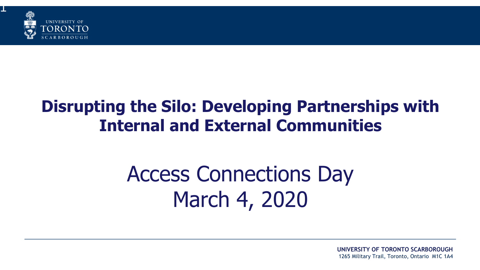

1

## **Disrupting the Silo: Developing Partnerships with Internal and External Communities**

# Access Connections Day March 4, 2020

**UNIVERSITY OF TORONTO SCARBOROUGH** 1265 Military Trail, Toronto, Ontario M1C 1A4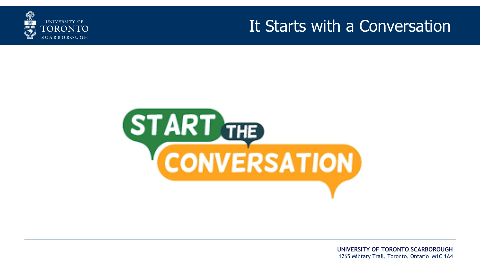

#### It Starts with a Conversation

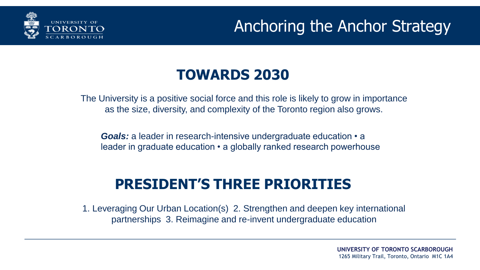

## Anchoring the Anchor Strategy

#### **TOWARDS 2030**

The University is a positive social force and this role is likely to grow in importance as the size, diversity, and complexity of the Toronto region also grows.

*Goals:* a leader in research-intensive undergraduate education • a leader in graduate education • a globally ranked research powerhouse

#### **PRESIDENT'S THREE PRIORITIES**

1. Leveraging Our Urban Location(s) 2. Strengthen and deepen key international partnerships 3. Reimagine and re-invent undergraduate education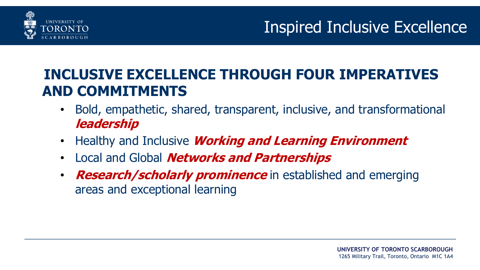

## Inspired Inclusive Excellence

#### **INCLUSIVE EXCELLENCE THROUGH FOUR IMPERATIVES AND COMMITMENTS**

- Bold, empathetic, shared, transparent, inclusive, and transformational **leadership**
- Healthy and Inclusive **Working and Learning Environment**
- Local and Global **Networks and Partnerships**
- **Research/scholarly prominence** in established and emerging areas and exceptional learning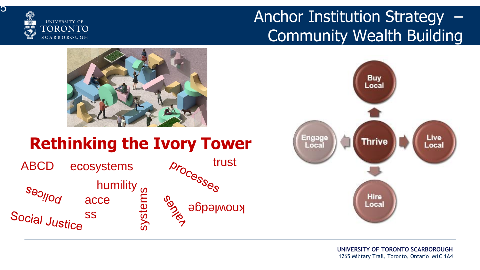

<u>່</u><br>ດ

## Anchor Institution Strategy – Community Wealth Building





### **Rethinking the Ivory Tower**

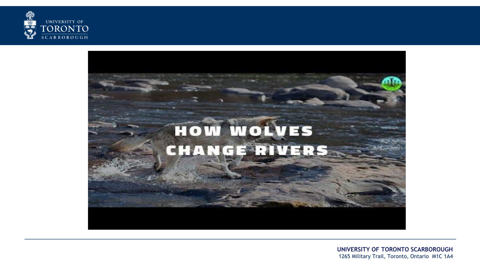



**UNIVERSITY OF TORONTO SCARBOROUGH** 1265 Military Trail, Toronto, Ontario M1C 1A4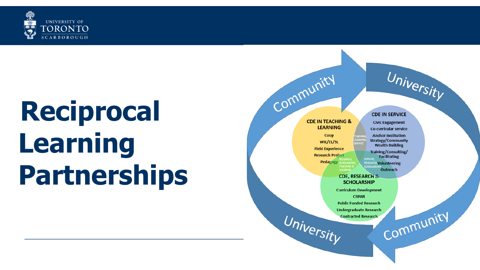

# **Reciprocal Learning Partnerships**

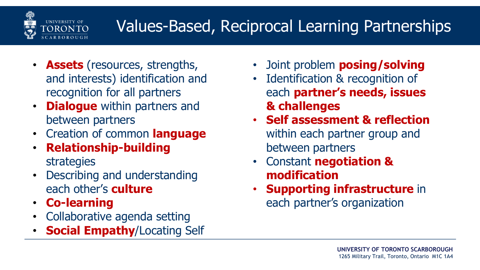

# Values-Based, Reciprocal Learning Partnerships

- **Assets** (resources, strengths, and interests) identification and recognition for all partners
- **Dialogue** within partners and between partners
- Creation of common **language**
- **Relationship-building** strategies
- Describing and understanding each other's **culture**
- **Co-learning**
- Collaborative agenda setting
- **Social Empathy**/Locating Self
- Joint problem **posing/solving**
- Identification & recognition of each **partner's needs, issues & challenges**
- **Self assessment & reflection**  within each partner group and between partners
- Constant **negotiation & modification**
- **Supporting infrastructure** in each partner's organization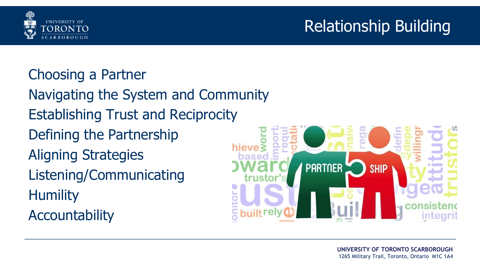



#### Choosing a Partner

- Navigating the System and Community
- Establishing Trust and Reciprocity
- Defining the Partnership
- Aligning Strategies
- Listening/Communicating **Humility**
- **Accountability**

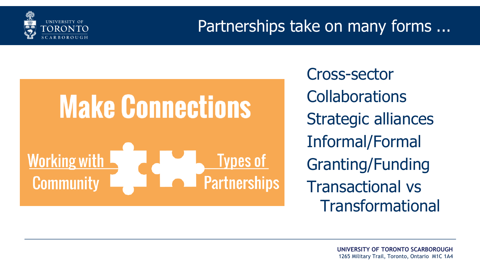

### Partnerships take on many forms ...

# **Make Connections Working with Types of Partnerships Community**

Cross-sector **Collaborations** Strategic alliances Informal/Formal Granting/Funding Transactional vs Transformational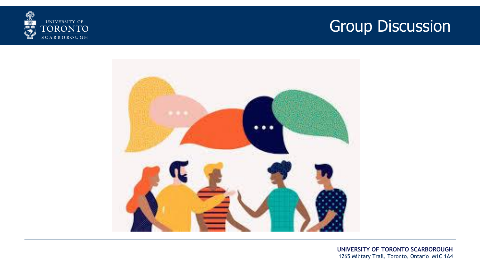



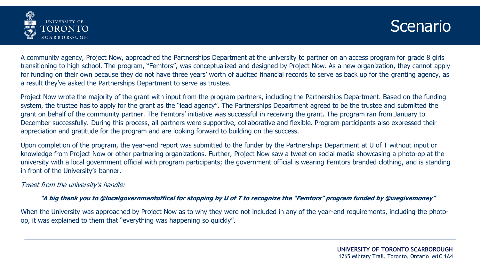



A community agency, Project Now, approached the Partnerships Department at the university to partner on an access program for grade 8 girls transitioning to high school. The program, "Femtors", was conceptualized and designed by Project Now. As a new organization, they cannot apply for funding on their own because they do not have three years' worth of audited financial records to serve as back up for the granting agency, as a result they've asked the Partnerships Department to serve as trustee.

Project Now wrote the majority of the grant with input from the program partners, including the Partnerships Department. Based on the funding system, the trustee has to apply for the grant as the "lead agency". The Partnerships Department agreed to be the trustee and submitted the grant on behalf of the community partner. The Femtors' initiative was successful in receiving the grant. The program ran from January to December successfully. During this process, all partners were supportive, collaborative and flexible. Program participants also expressed their appreciation and gratitude for the program and are looking forward to building on the success.

Upon completion of the program, the year-end report was submitted to the funder by the Partnerships Department at U of T without input or knowledge from Project Now or other partnering organizations. Further, Project Now saw a tweet on social media showcasing a photo-op at the university with a local government official with program participants; the government official is wearing Femtors branded clothing, and is standing in front of the University's banner.

Tweet from the university's handle:

#### **"A big thank you to @localgovernmentoffical for stopping by U of T to recognize the "Femtors" program funded by @wegivemoney"**

When the University was approached by Project Now as to why they were not included in any of the year-end requirements, including the photoop, it was explained to them that "everything was happening so quickly".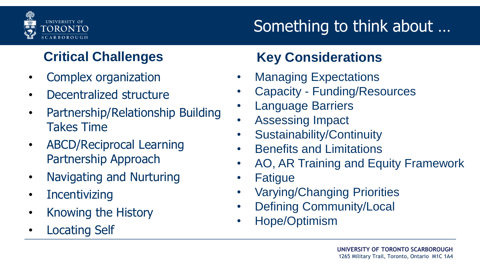

# Something to think about …

- Complex organization
- Decentralized structure
- Partnership/Relationship Building Takes Time
- ABCD/Reciprocal Learning Partnership Approach
- Navigating and Nurturing
- **Incentivizing**
- Knowing the History
- Locating Self

#### **Critical Challenges Key Considerations**

- Managing Expectations
- Capacity Funding/Resources
- **Language Barriers**
- Assessing Impact
- Sustainability/Continuity
- Benefits and Limitations
- AO, AR Training and Equity Framework
- **Fatique**
- Varying/Changing Priorities
- Defining Community/Local
- Hope/Optimism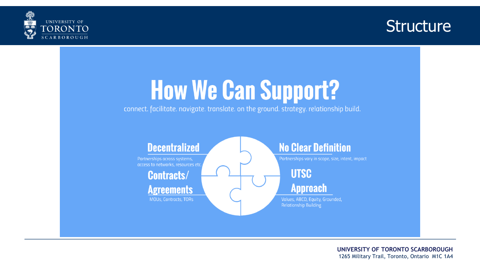



# **How We Can Support?**

connect. facilitate. navigate. translate. on the ground. strategy. relationship build.

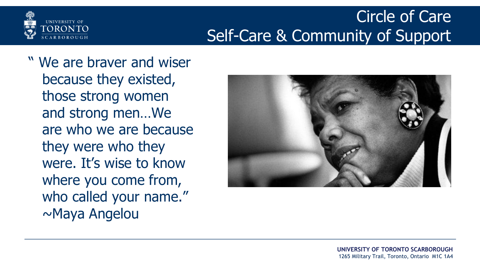

## Circle of Care Self-Care & Community of Support

" We are braver and wiser because they existed, those strong women and strong men…We are who we are because they were who they were. It's wise to know where you come from, who called your name." ~Maya Angelou